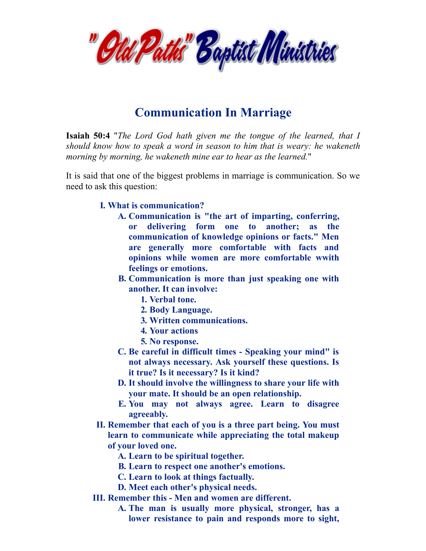

## **Communication In Marriage**

**Isaiah 50:4** "*The Lord God hath given me the tongue of the learned, that I should know how to speak a word in season to him that is weary: he wakeneth morning by morning, he wakeneth mine ear to hear as the learned.*"

It is said that one of the biggest problems in marriage is communication. So we need to ask this question:

## **I. What is communication?**

- **A. Communication is "the art of imparting, conferring, or delivering form one to another; as the communication of knowledge opinions or facts." Men are generally more comfortable with facts and opinions while women are more comfortable wwith feelings or emotions.**
- **B. Communication is more than just speaking one with another. It can involve:**
	- **1. Verbal tone.**
	- **2. Body Language.**
	- **3. Written communications.**
	- **4. Your actions**
	- **5. No response.**
- **C. Be careful in difficult times - Speaking your mind" is not always necessary. Ask yourself these questions. Is it true? Is it necessary? Is it kind?**
- **D. It should involve the willingness to share your life with your mate. It should be an open relationship.**
- **E. You may not always agree. Learn to disagree agreeably.**
- **II. Remember that each of you is a three part being. You must learn to communicate while appreciating the total makeup of your loved one.**

**A. Learn to be spiritual together.**

- **B. Learn to respect one another's emotions.**
- **C. Learn to look at things factually.**
- **D. Meet each other's physical needs.**
- **III. Remember this - Men and women are different.**
	- **A. The man is usually more physical, stronger, has a lower resistance to pain and responds more to sight,**